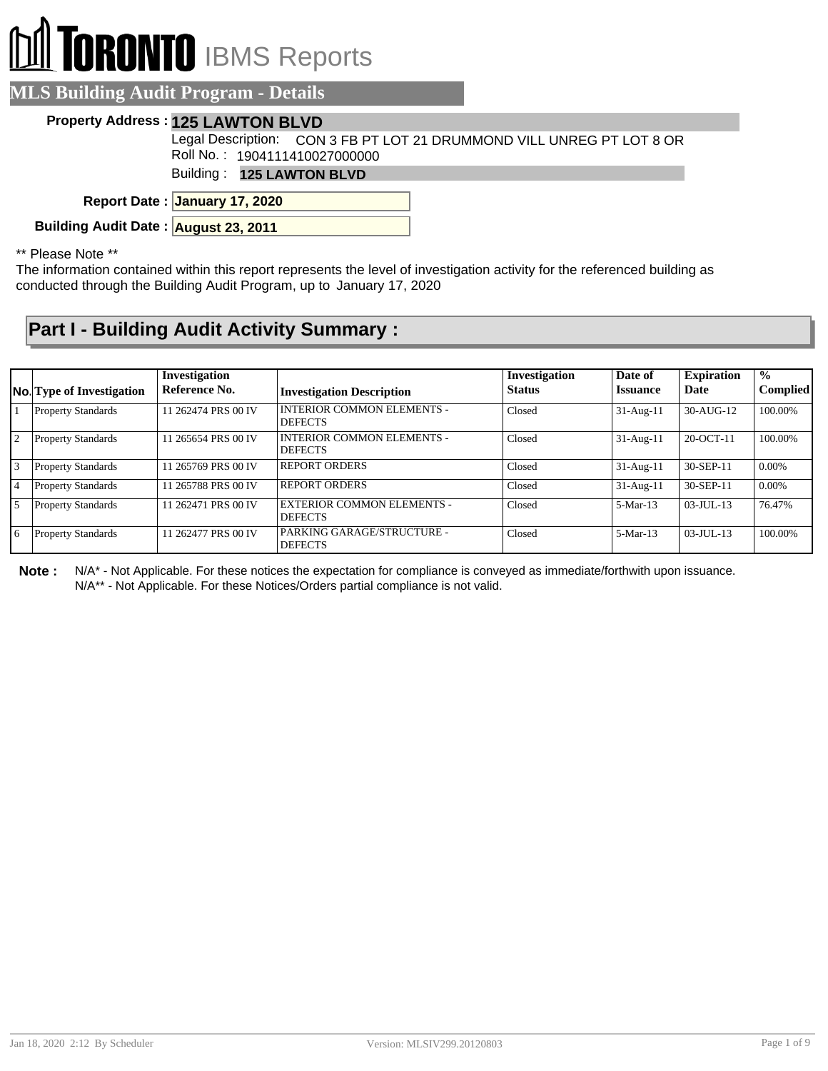# **RONTO** IBMS Reports

### **MLS Building Audit Program - Details**

#### **Property Address : 125 LAWTON BLVD**

Legal Description: CON 3 FB PT LOT 21 DRUMMOND VILL UNREG PT LOT 8 OR Roll No. : 1904111410027000000

Building : **125 LAWTON BLVD**

**January 17, 2020 Report Date :**

**Building Audit Date : August 23, 2011**

#### \*\* Please Note \*\*

The information contained within this report represents the level of investigation activity for the referenced building as conducted through the Building Audit Program, up to January 17, 2020

## **Part I - Building Audit Activity Summary :**

|                | <b>No.</b> Type of Investigation | Investigation<br>Reference No. | <b>Investigation Description</b>                    | Investigation<br><b>Status</b> | Date of<br><b>Issuance</b> | <b>Expiration</b><br>Date | $\frac{0}{0}$<br><b>Complied</b> |
|----------------|----------------------------------|--------------------------------|-----------------------------------------------------|--------------------------------|----------------------------|---------------------------|----------------------------------|
|                | <b>Property Standards</b>        | 11 262474 PRS 00 IV            | I INTERIOR COMMON ELEMENTS -<br><b>DEFECTS</b>      | Closed                         | $31-Aug-11$                | 30-AUG-12                 | 100.00%                          |
| $\overline{2}$ | <b>Property Standards</b>        | 11 265654 PRS 00 IV            | I INTERIOR COMMON ELEMENTS -<br><b>DEFECTS</b>      | Closed                         | $31-Aug-11$                | 20-OCT-11                 | 100.00%                          |
| 3              | <b>Property Standards</b>        | 11 265769 PRS 00 IV            | <b>REPORT ORDERS</b>                                | Closed                         | $31-Aug-11$                | 30-SEP-11                 | $0.00\%$                         |
| 4              | <b>Property Standards</b>        | 11 265788 PRS 00 IV            | REPORT ORDERS                                       | Closed                         | $31-Aug-11$                | 30-SEP-11                 | $0.00\%$                         |
| 5              | <b>Property Standards</b>        | 11 262471 PRS 00 IV            | <b>EXTERIOR COMMON ELEMENTS -</b><br><b>DEFECTS</b> | Closed                         | $5-Mar-13$                 | $03 - JUII - 13$          | 76.47%                           |
| 6              | <b>Property Standards</b>        | 11 262477 PRS 00 IV            | PARKING GARAGE/STRUCTURE -<br><b>DEFECTS</b>        | Closed                         | $5-Mar-13$                 | $03 - JUII - 13$          | 100.00%                          |

**Note :** N/A\* - Not Applicable. For these notices the expectation for compliance is conveyed as immediate/forthwith upon issuance. N/A\*\* - Not Applicable. For these Notices/Orders partial compliance is not valid.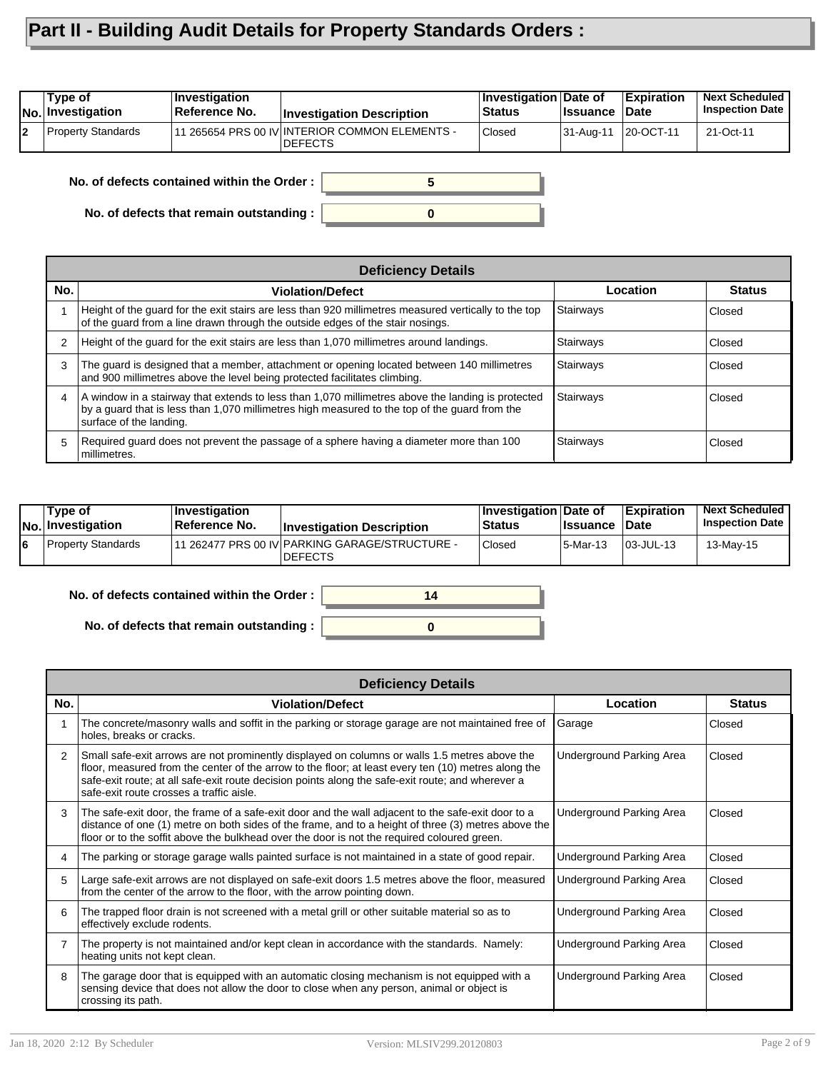## **Part II - Building Audit Details for Property Standards Orders :**

| 111 265654 PRS 00 IV INTERIOR COMMON ELEMENTS -<br><b>Property Standards</b><br><b>Closed</b><br>20-OCT-11<br>21-Oct-11<br>31-Aug-11<br>l2<br><b>IDEFECTS</b> | Type of<br><b>No.</b> Investigation | $ $ Investigation<br>Reference No. | <b>Investigation Description</b> | Investigation Date of<br>⊦Status | ∣Issuance | <b>Expiration</b><br>∣Date | <b>Next Scheduled</b><br><b>Inspection Date</b> |
|---------------------------------------------------------------------------------------------------------------------------------------------------------------|-------------------------------------|------------------------------------|----------------------------------|----------------------------------|-----------|----------------------------|-------------------------------------------------|
|                                                                                                                                                               |                                     |                                    |                                  |                                  |           |                            |                                                 |

**0**

**5**

**No. of defects contained within the Order :**

**No. of defects that remain outstanding :**

|                | <b>Deficiency Details</b>                                                                                                                                                                                                             |           |               |  |  |  |
|----------------|---------------------------------------------------------------------------------------------------------------------------------------------------------------------------------------------------------------------------------------|-----------|---------------|--|--|--|
| No.            | <b>Violation/Defect</b>                                                                                                                                                                                                               | Location  | <b>Status</b> |  |  |  |
|                | Height of the guard for the exit stairs are less than 920 millimetres measured vertically to the top<br>of the guard from a line drawn through the outside edges of the stair nosings.                                                | Stairways | Closed        |  |  |  |
| $\overline{2}$ | Height of the guard for the exit stairs are less than 1,070 millimetres around landings.                                                                                                                                              | Stairways | Closed        |  |  |  |
| 3              | The guard is designed that a member, attachment or opening located between 140 millimetres<br>and 900 millimetres above the level being protected facilitates climbing.                                                               | Stairways | Closed        |  |  |  |
| 4              | $\vert$ A window in a stairway that extends to less than 1,070 millimetres above the landing is protected<br>by a guard that is less than 1,070 millimetres high measured to the top of the guard from the<br>surface of the landing. | Stairways | Closed        |  |  |  |
| 5              | Required guard does not prevent the passage of a sphere having a diameter more than 100<br>millimetres.                                                                                                                               | Stairways | Closed        |  |  |  |

| Type of<br>No. Investigation | $\blacksquare$ Investigation<br><b>Reference No.</b> | <b>Investigation Description</b>                                  | ∣Investigation ∣Date of<br><b>Status</b> | <b>Ilssuance Date</b> | Expiration | <b>Next Scheduled</b><br><b>Inspection Date</b> |
|------------------------------|------------------------------------------------------|-------------------------------------------------------------------|------------------------------------------|-----------------------|------------|-------------------------------------------------|
| <b>Property Standards</b>    |                                                      | 111 262477 PRS 00 IV PARKING GARAGE/STRUCTURE -<br><b>DEFECTS</b> | Closed                                   | 15-Mar-13             | 03-JUL-13  | 13-May-15                                       |

**0**

**14**

#### **No. of defects contained within the Order :**

**No. of defects that remain outstanding :**

|                | <b>Deficiency Details</b>                                                                                                                                                                                                                                                                                                                             |                          |               |  |  |  |
|----------------|-------------------------------------------------------------------------------------------------------------------------------------------------------------------------------------------------------------------------------------------------------------------------------------------------------------------------------------------------------|--------------------------|---------------|--|--|--|
| No.            | <b>Violation/Defect</b>                                                                                                                                                                                                                                                                                                                               | Location                 | <b>Status</b> |  |  |  |
|                | The concrete/masonry walls and soffit in the parking or storage garage are not maintained free of<br>holes, breaks or cracks.                                                                                                                                                                                                                         | Garage                   | Closed        |  |  |  |
| $\overline{2}$ | Small safe-exit arrows are not prominently displayed on columns or walls 1.5 metres above the<br>floor, measured from the center of the arrow to the floor; at least every ten (10) metres along the<br>safe-exit route; at all safe-exit route decision points along the safe-exit route; and wherever a<br>safe-exit route crosses a traffic aisle. | Underground Parking Area | Closed        |  |  |  |
| 3              | The safe-exit door, the frame of a safe-exit door and the wall adjacent to the safe-exit door to a<br>distance of one (1) metre on both sides of the frame, and to a height of three (3) metres above the<br>floor or to the soffit above the bulkhead over the door is not the required coloured green.                                              | Underground Parking Area | Closed        |  |  |  |
|                | The parking or storage garage walls painted surface is not maintained in a state of good repair.                                                                                                                                                                                                                                                      | Underground Parking Area | Closed        |  |  |  |
| 5.             | Large safe-exit arrows are not displayed on safe-exit doors 1.5 metres above the floor, measured<br>from the center of the arrow to the floor, with the arrow pointing down.                                                                                                                                                                          | Underground Parking Area | Closed        |  |  |  |
| 6              | The trapped floor drain is not screened with a metal grill or other suitable material so as to<br>effectively exclude rodents.                                                                                                                                                                                                                        | Underground Parking Area | Closed        |  |  |  |
| 7              | The property is not maintained and/or kept clean in accordance with the standards. Namely:<br>heating units not kept clean.                                                                                                                                                                                                                           | Underground Parking Area | Closed        |  |  |  |
| 8              | The garage door that is equipped with an automatic closing mechanism is not equipped with a<br>sensing device that does not allow the door to close when any person, animal or object is<br>crossing its path.                                                                                                                                        | Underground Parking Area | Closed        |  |  |  |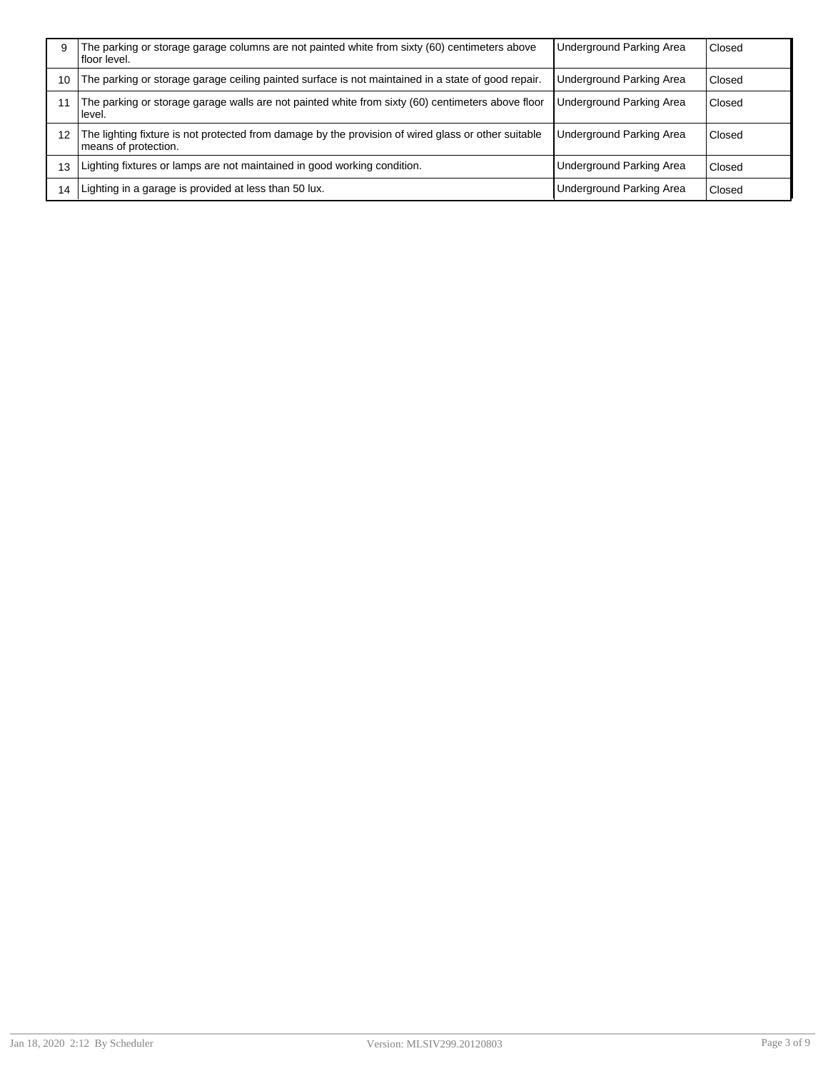| 9  | The parking or storage garage columns are not painted white from sixty (60) centimeters above<br>l floor level.             | Underground Parking Area        | Closed |
|----|-----------------------------------------------------------------------------------------------------------------------------|---------------------------------|--------|
| 10 | The parking or storage garage ceiling painted surface is not maintained in a state of good repair.                          | Underground Parking Area        | Closed |
|    | The parking or storage garage walls are not painted white from sixty (60) centimeters above floor<br>Hevel.                 | <b>Underground Parking Area</b> | Closed |
| 12 | The lighting fixture is not protected from damage by the provision of wired glass or other suitable<br>means of protection. | <b>Underground Parking Area</b> | Closed |
| 13 | Lighting fixtures or lamps are not maintained in good working condition.                                                    | Underground Parking Area        | Closed |
| 14 | Lighting in a garage is provided at less than 50 lux.                                                                       | <b>Underground Parking Area</b> | Closed |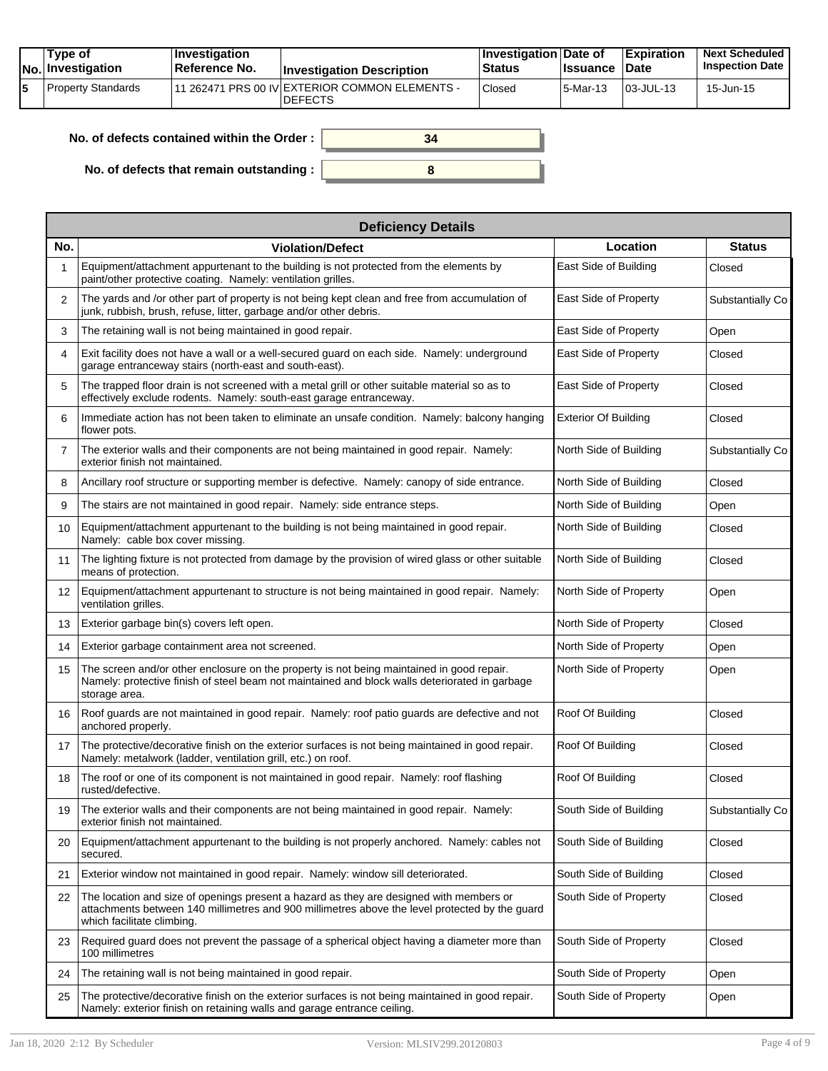| Tvpe of<br>No. Investigation | <b>Investigation</b><br>⊺Reference No. | <b>Investigation Description</b>                                  | ∣Investigation Date of<br>Status | <b>Issuance Date</b> | <b>Expiration</b>     | <b>Next Scheduled</b><br><b>Inspection Date</b> |
|------------------------------|----------------------------------------|-------------------------------------------------------------------|----------------------------------|----------------------|-----------------------|-------------------------------------------------|
| Property Standards           |                                        | 111 262471 PRS 00 IV EXTERIOR COMMON ELEMENTS -<br><b>DEFECTS</b> | Closed                           | 15-Mar-13            | $\big 03\big $ JUL-13 | 15-Jun-15                                       |

| No. of defects contained within the Order: | 34 |
|--------------------------------------------|----|
| No. of defects that remain outstanding :   |    |

|                   | <b>Deficiency Details</b>                                                                                                                                                                                               |                             |                  |  |  |  |
|-------------------|-------------------------------------------------------------------------------------------------------------------------------------------------------------------------------------------------------------------------|-----------------------------|------------------|--|--|--|
| No.               | <b>Violation/Defect</b>                                                                                                                                                                                                 | Location                    | <b>Status</b>    |  |  |  |
|                   | Equipment/attachment appurtenant to the building is not protected from the elements by<br>paint/other protective coating. Namely: ventilation grilles.                                                                  | East Side of Building       | Closed           |  |  |  |
| 2                 | The yards and /or other part of property is not being kept clean and free from accumulation of<br>junk, rubbish, brush, refuse, litter, garbage and/or other debris.                                                    | East Side of Property       | Substantially Co |  |  |  |
| 3                 | The retaining wall is not being maintained in good repair.                                                                                                                                                              | East Side of Property       | Open             |  |  |  |
| 4                 | Exit facility does not have a wall or a well-secured guard on each side. Namely: underground<br>garage entranceway stairs (north-east and south-east).                                                                  | East Side of Property       | Closed           |  |  |  |
| 5                 | The trapped floor drain is not screened with a metal grill or other suitable material so as to<br>effectively exclude rodents. Namely: south-east garage entranceway.                                                   | East Side of Property       | Closed           |  |  |  |
| 6                 | Immediate action has not been taken to eliminate an unsafe condition. Namely: balcony hanging<br>flower pots.                                                                                                           | <b>Exterior Of Building</b> | Closed           |  |  |  |
| $\overline{7}$    | The exterior walls and their components are not being maintained in good repair. Namely:<br>exterior finish not maintained.                                                                                             | North Side of Building      | Substantially Co |  |  |  |
| 8                 | Ancillary roof structure or supporting member is defective. Namely: canopy of side entrance.                                                                                                                            | North Side of Building      | Closed           |  |  |  |
| 9                 | The stairs are not maintained in good repair. Namely: side entrance steps.                                                                                                                                              | North Side of Building      | Open             |  |  |  |
| 10                | Equipment/attachment appurtenant to the building is not being maintained in good repair.<br>Namely: cable box cover missing.                                                                                            | North Side of Building      | Closed           |  |  |  |
| 11                | The lighting fixture is not protected from damage by the provision of wired glass or other suitable<br>means of protection.                                                                                             | North Side of Building      | Closed           |  |  |  |
| $12 \overline{ }$ | Equipment/attachment appurtenant to structure is not being maintained in good repair. Namely:<br>ventilation grilles.                                                                                                   | North Side of Property      | Open             |  |  |  |
| 13                | Exterior garbage bin(s) covers left open.                                                                                                                                                                               | North Side of Property      | Closed           |  |  |  |
| 14                | Exterior garbage containment area not screened.                                                                                                                                                                         | North Side of Property      | Open             |  |  |  |
| 15                | The screen and/or other enclosure on the property is not being maintained in good repair.<br>Namely: protective finish of steel beam not maintained and block walls deteriorated in garbage<br>storage area.            | North Side of Property      | Open             |  |  |  |
| 16                | Roof guards are not maintained in good repair. Namely: roof patio guards are defective and not<br>anchored properly.                                                                                                    | Roof Of Building            | Closed           |  |  |  |
| 17                | The protective/decorative finish on the exterior surfaces is not being maintained in good repair.<br>Namely: metalwork (ladder, ventilation grill, etc.) on roof.                                                       | Roof Of Building            | Closed           |  |  |  |
| 18                | The roof or one of its component is not maintained in good repair. Namely: roof flashing<br>rusted/defective.                                                                                                           | Roof Of Building            | Closed           |  |  |  |
| 19                | The exterior walls and their components are not being maintained in good repair. Namely:<br>exterior finish not maintained.                                                                                             | South Side of Building      | Substantially Co |  |  |  |
| 20                | Equipment/attachment appurtenant to the building is not properly anchored. Namely: cables not<br>secured.                                                                                                               | South Side of Building      | Closed           |  |  |  |
| 21                | Exterior window not maintained in good repair. Namely: window sill deteriorated.                                                                                                                                        | South Side of Building      | Closed           |  |  |  |
| 22                | The location and size of openings present a hazard as they are designed with members or<br>attachments between 140 millimetres and 900 millimetres above the level protected by the guard<br>which facilitate climbing. | South Side of Property      | Closed           |  |  |  |
| 23                | Required guard does not prevent the passage of a spherical object having a diameter more than<br>100 millimetres                                                                                                        | South Side of Property      | Closed           |  |  |  |
| 24                | The retaining wall is not being maintained in good repair.                                                                                                                                                              | South Side of Property      | Open             |  |  |  |
| 25                | The protective/decorative finish on the exterior surfaces is not being maintained in good repair.<br>Namely: exterior finish on retaining walls and garage entrance ceiling.                                            | South Side of Property      | Open             |  |  |  |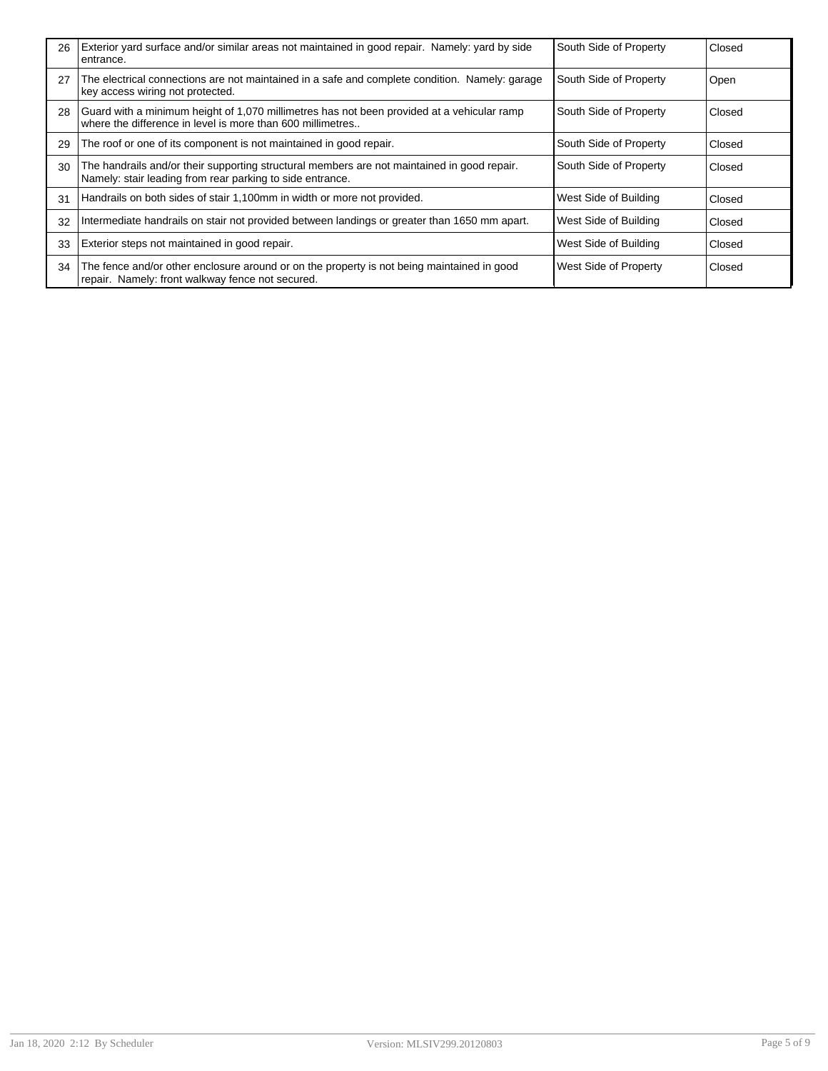| 26 | Exterior yard surface and/or similar areas not maintained in good repair. Namely: yard by side<br>entrance.                                              | South Side of Property | Closed |
|----|----------------------------------------------------------------------------------------------------------------------------------------------------------|------------------------|--------|
| 27 | The electrical connections are not maintained in a safe and complete condition. Namely: garage<br>key access wiring not protected.                       | South Side of Property | Open   |
| 28 | Guard with a minimum height of 1,070 millimetres has not been provided at a vehicular ramp<br>where the difference in level is more than 600 millimetres | South Side of Property | Closed |
| 29 | The roof or one of its component is not maintained in good repair.                                                                                       | South Side of Property | Closed |
| 30 | The handrails and/or their supporting structural members are not maintained in good repair.<br>Namely: stair leading from rear parking to side entrance. | South Side of Property | Closed |
| 31 | Handrails on both sides of stair 1,100mm in width or more not provided.                                                                                  | West Side of Building  | Closed |
| 32 | Intermediate handrails on stair not provided between landings or greater than 1650 mm apart.                                                             | West Side of Building  | Closed |
| 33 | Exterior steps not maintained in good repair.                                                                                                            | West Side of Building  | Closed |
| 34 | The fence and/or other enclosure around or on the property is not being maintained in good<br>repair. Namely: front walkway fence not secured.           | West Side of Property  | Closed |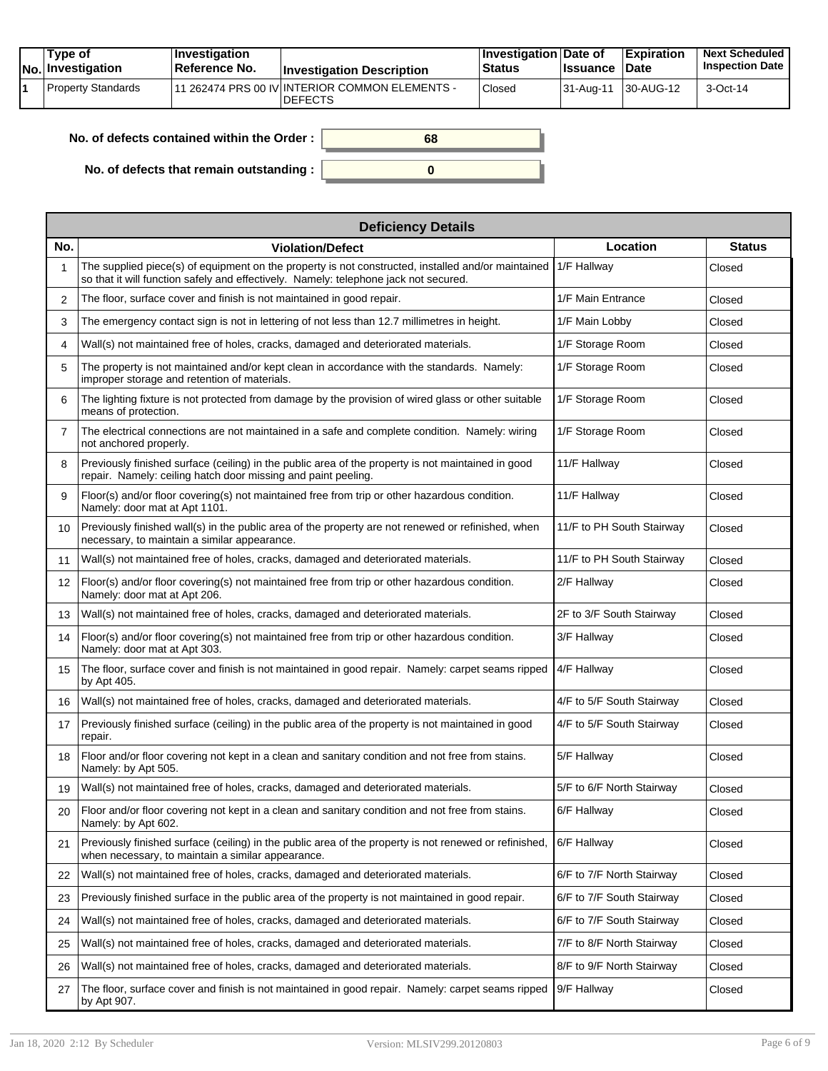| Tvpe of<br>No. Investigation | $\blacksquare$ Investigation<br>∣Reference No. | <b>Investigation Description</b>                                           | <b>Investigation Date of</b><br><b>Status</b> | <b>Issuance</b>     | <b>Expiration</b><br><b>Date</b> | <b>Next Scheduled</b><br><b>Inspection Date</b> |
|------------------------------|------------------------------------------------|----------------------------------------------------------------------------|-----------------------------------------------|---------------------|----------------------------------|-------------------------------------------------|
| Property Standards           |                                                | <sup>1</sup> 262474 PRS 00 IV INTERIOR COMMON ELEMENTS -<br><b>DEFECTS</b> | Closed                                        | 31-Aug-11 30-AUG-12 |                                  | 3-Oct-14                                        |

| No. of defects contained within the Order : $\vert$ | 68 |
|-----------------------------------------------------|----|
| No. of defects that remain outstanding :            |    |

|                | <b>Deficiency Details</b>                                                                                                                                                                  |                           |               |  |  |  |
|----------------|--------------------------------------------------------------------------------------------------------------------------------------------------------------------------------------------|---------------------------|---------------|--|--|--|
| No.            | <b>Violation/Defect</b>                                                                                                                                                                    | Location                  | <b>Status</b> |  |  |  |
| 1              | The supplied piece(s) of equipment on the property is not constructed, installed and/or maintained<br>so that it will function safely and effectively. Namely: telephone jack not secured. | 1/F Hallway               | Closed        |  |  |  |
| $\overline{2}$ | The floor, surface cover and finish is not maintained in good repair.                                                                                                                      | 1/F Main Entrance         | Closed        |  |  |  |
| 3              | The emergency contact sign is not in lettering of not less than 12.7 millimetres in height.                                                                                                | 1/F Main Lobby            | Closed        |  |  |  |
| 4              | Wall(s) not maintained free of holes, cracks, damaged and deteriorated materials.                                                                                                          | 1/F Storage Room          | Closed        |  |  |  |
| 5              | The property is not maintained and/or kept clean in accordance with the standards. Namely:<br>improper storage and retention of materials.                                                 | 1/F Storage Room          | Closed        |  |  |  |
| 6              | The lighting fixture is not protected from damage by the provision of wired glass or other suitable<br>means of protection.                                                                | 1/F Storage Room          | Closed        |  |  |  |
| $\overline{7}$ | The electrical connections are not maintained in a safe and complete condition. Namely: wiring<br>not anchored properly.                                                                   | 1/F Storage Room          | Closed        |  |  |  |
| 8              | Previously finished surface (ceiling) in the public area of the property is not maintained in good<br>repair. Namely: ceiling hatch door missing and paint peeling.                        | 11/F Hallway              | Closed        |  |  |  |
| 9              | Floor(s) and/or floor covering(s) not maintained free from trip or other hazardous condition.<br>Namely: door mat at Apt 1101.                                                             | 11/F Hallway              | Closed        |  |  |  |
| 10             | Previously finished wall(s) in the public area of the property are not renewed or refinished, when<br>necessary, to maintain a similar appearance.                                         | 11/F to PH South Stairway | Closed        |  |  |  |
| 11             | Wall(s) not maintained free of holes, cracks, damaged and deteriorated materials.                                                                                                          | 11/F to PH South Stairway | Closed        |  |  |  |
| 12             | Floor(s) and/or floor covering(s) not maintained free from trip or other hazardous condition.<br>Namely: door mat at Apt 206.                                                              | 2/F Hallway               | Closed        |  |  |  |
| 13             | Wall(s) not maintained free of holes, cracks, damaged and deteriorated materials.                                                                                                          | 2F to 3/F South Stairway  | Closed        |  |  |  |
| 14             | Floor(s) and/or floor covering(s) not maintained free from trip or other hazardous condition.<br>Namely: door mat at Apt 303.                                                              | 3/F Hallway               | Closed        |  |  |  |
| 15             | The floor, surface cover and finish is not maintained in good repair. Namely: carpet seams ripped<br>by Apt 405.                                                                           | 4/F Hallway               | Closed        |  |  |  |
| 16             | Wall(s) not maintained free of holes, cracks, damaged and deteriorated materials.                                                                                                          | 4/F to 5/F South Stairway | Closed        |  |  |  |
| 17             | Previously finished surface (ceiling) in the public area of the property is not maintained in good<br>repair.                                                                              | 4/F to 5/F South Stairway | Closed        |  |  |  |
| 18             | Floor and/or floor covering not kept in a clean and sanitary condition and not free from stains.<br>Namely: by Apt 505.                                                                    | 5/F Hallway               | Closed        |  |  |  |
| 19             | Wall(s) not maintained free of holes, cracks, damaged and deteriorated materials.                                                                                                          | 5/F to 6/F North Stairway | Closed        |  |  |  |
| 20             | Floor and/or floor covering not kept in a clean and sanitary condition and not free from stains.<br>Namely: by Apt 602.                                                                    | 6/F Hallway               | Closed        |  |  |  |
| 21             | Previously finished surface (ceiling) in the public area of the property is not renewed or refinished,<br>when necessary, to maintain a similar appearance.                                | 6/F Hallway               | Closed        |  |  |  |
| 22             | Wall(s) not maintained free of holes, cracks, damaged and deteriorated materials.                                                                                                          | 6/F to 7/F North Stairway | Closed        |  |  |  |
| 23             | Previously finished surface in the public area of the property is not maintained in good repair.                                                                                           | 6/F to 7/F South Stairway | Closed        |  |  |  |
| 24             | Wall(s) not maintained free of holes, cracks, damaged and deteriorated materials.                                                                                                          | 6/F to 7/F South Stairway | Closed        |  |  |  |
| 25             | Wall(s) not maintained free of holes, cracks, damaged and deteriorated materials.                                                                                                          | 7/F to 8/F North Stairway | Closed        |  |  |  |
| 26             | Wall(s) not maintained free of holes, cracks, damaged and deteriorated materials.                                                                                                          | 8/F to 9/F North Stairway | Closed        |  |  |  |
| 27             | The floor, surface cover and finish is not maintained in good repair. Namely: carpet seams ripped<br>by Apt 907.                                                                           | 9/F Hallway               | Closed        |  |  |  |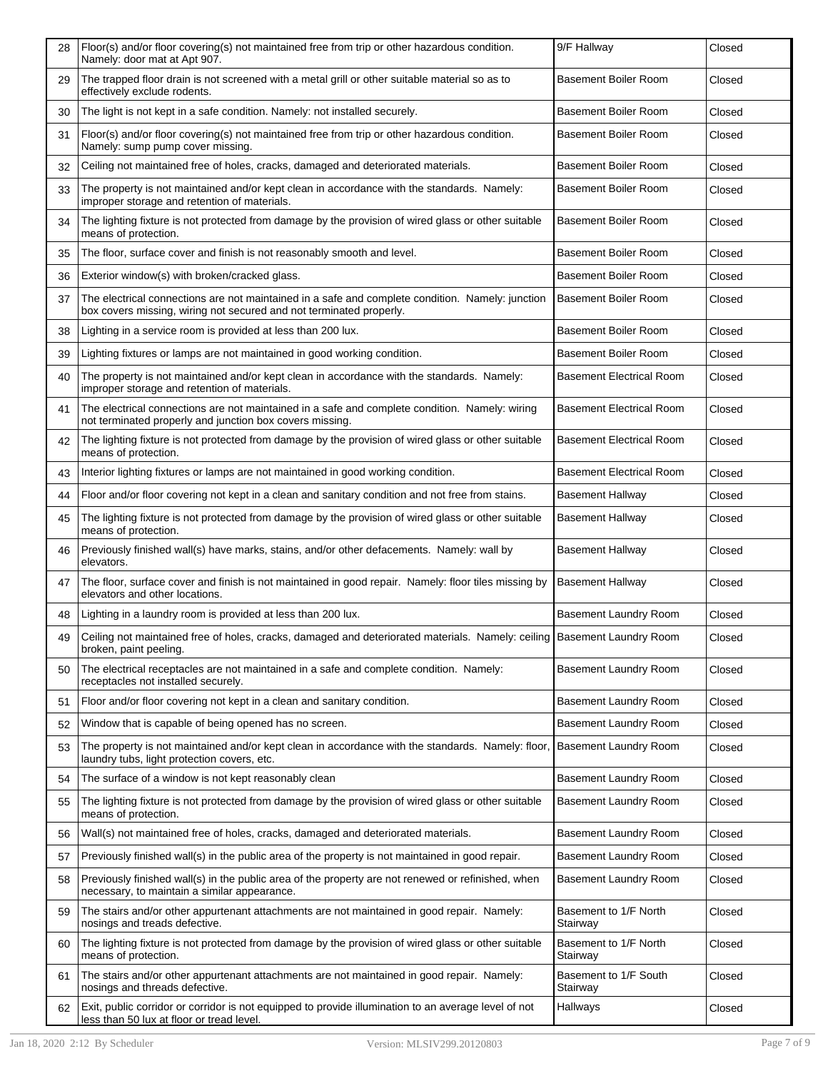| 28 | Floor(s) and/or floor covering(s) not maintained free from trip or other hazardous condition.<br>Namely: door mat at Apt 907.                                           | 9/F Hallway                       | Closed |
|----|-------------------------------------------------------------------------------------------------------------------------------------------------------------------------|-----------------------------------|--------|
| 29 | The trapped floor drain is not screened with a metal grill or other suitable material so as to<br>effectively exclude rodents.                                          | <b>Basement Boiler Room</b>       | Closed |
| 30 | The light is not kept in a safe condition. Namely: not installed securely.                                                                                              | <b>Basement Boiler Room</b>       | Closed |
| 31 | Floor(s) and/or floor covering(s) not maintained free from trip or other hazardous condition.<br>Namely: sump pump cover missing.                                       | <b>Basement Boiler Room</b>       | Closed |
| 32 | Ceiling not maintained free of holes, cracks, damaged and deteriorated materials.                                                                                       | <b>Basement Boiler Room</b>       | Closed |
| 33 | The property is not maintained and/or kept clean in accordance with the standards. Namely:<br>improper storage and retention of materials.                              | <b>Basement Boiler Room</b>       | Closed |
| 34 | The lighting fixture is not protected from damage by the provision of wired glass or other suitable<br>means of protection.                                             | <b>Basement Boiler Room</b>       | Closed |
| 35 | The floor, surface cover and finish is not reasonably smooth and level.                                                                                                 | <b>Basement Boiler Room</b>       | Closed |
| 36 | Exterior window(s) with broken/cracked glass.                                                                                                                           | Basement Boiler Room              | Closed |
| 37 | The electrical connections are not maintained in a safe and complete condition. Namely: junction<br>box covers missing, wiring not secured and not terminated properly. | <b>Basement Boiler Room</b>       | Closed |
| 38 | Lighting in a service room is provided at less than 200 lux.                                                                                                            | <b>Basement Boiler Room</b>       | Closed |
| 39 | Lighting fixtures or lamps are not maintained in good working condition.                                                                                                | <b>Basement Boiler Room</b>       | Closed |
| 40 | The property is not maintained and/or kept clean in accordance with the standards. Namely:<br>improper storage and retention of materials.                              | <b>Basement Electrical Room</b>   | Closed |
| 41 | The electrical connections are not maintained in a safe and complete condition. Namely: wiring<br>not terminated properly and junction box covers missing.              | <b>Basement Electrical Room</b>   | Closed |
| 42 | The lighting fixture is not protected from damage by the provision of wired glass or other suitable<br>means of protection.                                             | <b>Basement Electrical Room</b>   | Closed |
| 43 | Interior lighting fixtures or lamps are not maintained in good working condition.                                                                                       | <b>Basement Electrical Room</b>   | Closed |
| 44 | Floor and/or floor covering not kept in a clean and sanitary condition and not free from stains.                                                                        | Basement Hallway                  | Closed |
| 45 | The lighting fixture is not protected from damage by the provision of wired glass or other suitable<br>means of protection.                                             | <b>Basement Hallway</b>           | Closed |
| 46 | Previously finished wall(s) have marks, stains, and/or other defacements. Namely: wall by<br>elevators.                                                                 | <b>Basement Hallway</b>           | Closed |
| 47 | The floor, surface cover and finish is not maintained in good repair. Namely: floor tiles missing by<br>elevators and other locations.                                  | <b>Basement Hallway</b>           | Closed |
| 48 | Lighting in a laundry room is provided at less than 200 lux.                                                                                                            | <b>Basement Laundry Room</b>      | Closed |
| 49 | Ceiling not maintained free of holes, cracks, damaged and deteriorated materials. Namely: ceiling   Basement Laundry Room<br>broken, paint peeling.                     |                                   | Closed |
| 50 | The electrical receptacles are not maintained in a safe and complete condition. Namely:<br>receptacles not installed securely.                                          | Basement Laundry Room             | Closed |
| 51 | Floor and/or floor covering not kept in a clean and sanitary condition.                                                                                                 | Basement Laundry Room             | Closed |
| 52 | Window that is capable of being opened has no screen.                                                                                                                   | <b>Basement Laundry Room</b>      | Closed |
| 53 | The property is not maintained and/or kept clean in accordance with the standards. Namely: floor,<br>laundry tubs, light protection covers, etc.                        | Basement Laundry Room             | Closed |
| 54 | The surface of a window is not kept reasonably clean                                                                                                                    | Basement Laundry Room             | Closed |
| 55 | The lighting fixture is not protected from damage by the provision of wired glass or other suitable<br>means of protection.                                             | <b>Basement Laundry Room</b>      | Closed |
| 56 | Wall(s) not maintained free of holes, cracks, damaged and deteriorated materials.                                                                                       | Basement Laundry Room             | Closed |
| 57 | Previously finished wall(s) in the public area of the property is not maintained in good repair.                                                                        | <b>Basement Laundry Room</b>      | Closed |
| 58 | Previously finished wall(s) in the public area of the property are not renewed or refinished, when<br>necessary, to maintain a similar appearance.                      | <b>Basement Laundry Room</b>      | Closed |
| 59 | The stairs and/or other appurtenant attachments are not maintained in good repair. Namely:<br>nosings and treads defective.                                             | Basement to 1/F North<br>Stairway | Closed |
| 60 | The lighting fixture is not protected from damage by the provision of wired glass or other suitable<br>means of protection.                                             | Basement to 1/F North<br>Stairway | Closed |
| 61 | The stairs and/or other appurtenant attachments are not maintained in good repair. Namely:<br>nosings and threads defective.                                            | Basement to 1/F South<br>Stairway | Closed |
| 62 | Exit, public corridor or corridor is not equipped to provide illumination to an average level of not<br>less than 50 lux at floor or tread level.                       | Hallways                          | Closed |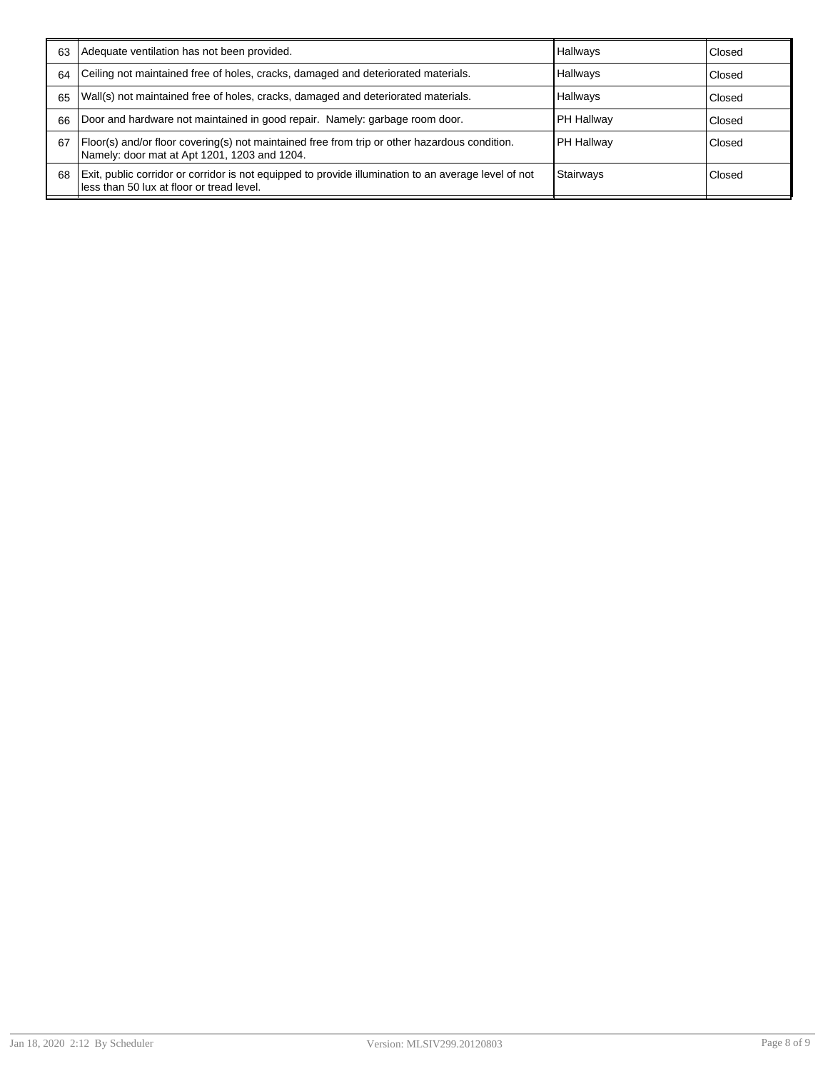| 63 | Adequate ventilation has not been provided.                                                                                                       | Hallways        | Closed |
|----|---------------------------------------------------------------------------------------------------------------------------------------------------|-----------------|--------|
| 64 | Ceiling not maintained free of holes, cracks, damaged and deteriorated materials.                                                                 | <b>Hallwavs</b> | Closed |
| 65 | Wall(s) not maintained free of holes, cracks, damaged and deteriorated materials.                                                                 | Hallways        | Closed |
| 66 | Door and hardware not maintained in good repair. Namely: garbage room door.                                                                       | PH Hallway      | Closed |
| 67 | Floor(s) and/or floor covering(s) not maintained free from trip or other hazardous condition.<br>Namely: door mat at Apt 1201, 1203 and 1204.     | PH Hallway      | Closed |
| 68 | Exit, public corridor or corridor is not equipped to provide illumination to an average level of not<br>less than 50 lux at floor or tread level. | Stairways       | Closed |